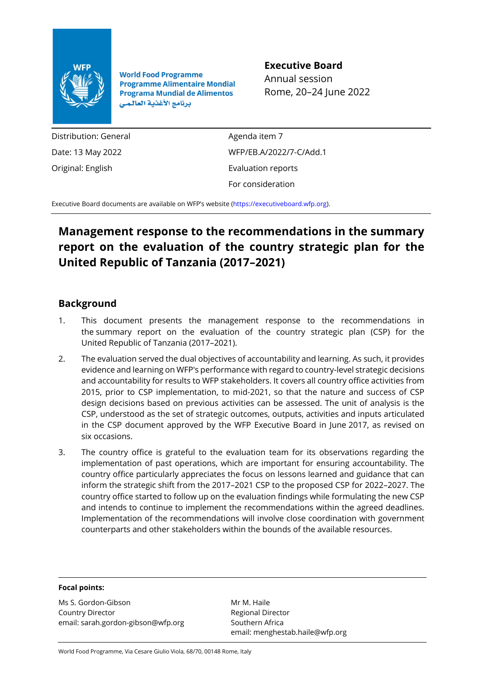

**World Food Programme Programme Alimentaire Mondial Programa Mundial de Alimentos** برنامج الأغذية العالمي

## **Executive Board**

Annual session Rome, 20–24 June 2022

Distribution: General Date: 13 May 2022 Original: English

Agenda item 7 WFP/EB.A/2022/7-C/Add.1 Evaluation reports For consideration

Executive Board documents are available on WFP's website [\(https://executiveboard.wfp.org\)](https://executiveboard.wfp.org/).

## **Management response to the recommendations in the summary report on the evaluation of the country strategic plan for the United Republic of Tanzania (2017–2021)**

## **Background**

- 1. This document presents the management response to the recommendations in the summary report on the evaluation of the country strategic plan (CSP) for the United Republic of Tanzania (2017–2021).
- 2. The evaluation served the dual objectives of accountability and learning. As such, it provides evidence and learning on WFP's performance with regard to country-level strategic decisions and accountability for results to WFP stakeholders. It covers all country office activities from 2015, prior to CSP implementation, to mid-2021, so that the nature and success of CSP design decisions based on previous activities can be assessed. The unit of analysis is the CSP, understood as the set of strategic outcomes, outputs, activities and inputs articulated in the CSP document approved by the WFP Executive Board in June 2017, as revised on six occasions.
- 3. The country office is grateful to the evaluation team for its observations regarding the implementation of past operations, which are important for ensuring accountability. The country office particularly appreciates the focus on lessons learned and guidance that can inform the strategic shift from the 2017–2021 CSP to the proposed CSP for 2022–2027. The country office started to follow up on the evaluation findings while formulating the new CSP and intends to continue to implement the recommendations within the agreed deadlines. Implementation of the recommendations will involve close coordination with government counterparts and other stakeholders within the bounds of the available resources.

## **Focal points:**

Ms S. Gordon-Gibson Country Director email: sarah.gordon-gibson@wfp.org

Mr M. Haile Regional Director Southern Africa email: menghestab.haile@wfp.org

World Food Programme, Via Cesare Giulio Viola, 68/70, 00148 Rome, Italy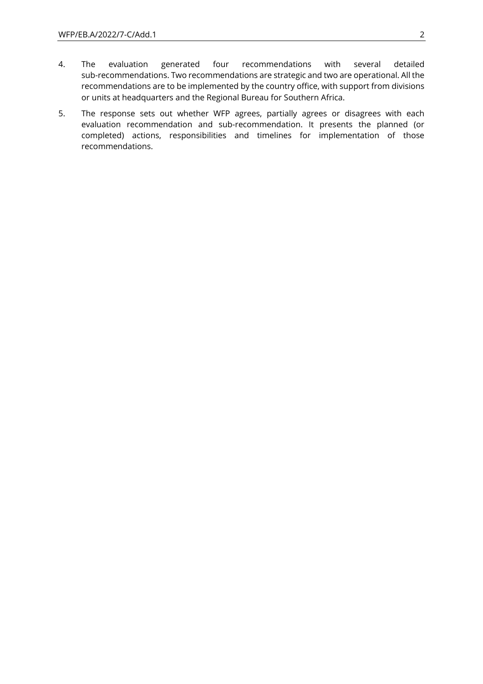- 4. The evaluation generated four recommendations with several detailed sub-recommendations. Two recommendations are strategic and two are operational. All the recommendations are to be implemented by the country office, with support from divisions or units at headquarters and the Regional Bureau for Southern Africa.
- 5. The response sets out whether WFP agrees, partially agrees or disagrees with each evaluation recommendation and sub-recommendation. It presents the planned (or completed) actions, responsibilities and timelines for implementation of those recommendations.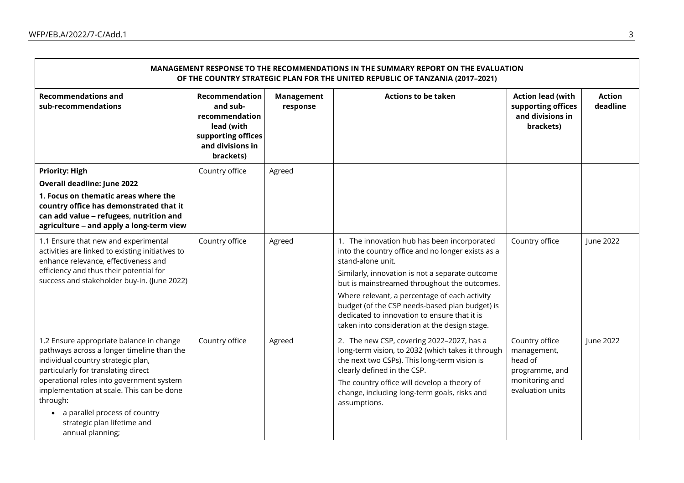$\blacksquare$ 

| MANAGEMENT RESPONSE TO THE RECOMMENDATIONS IN THE SUMMARY REPORT ON THE EVALUATION<br>OF THE COUNTRY STRATEGIC PLAN FOR THE UNITED REPUBLIC OF TANZANIA (2017-2021)                                                                                                                                                                                            |                                                                                                                   |                               |                                                                                                                                                                                                                                                                                                                                                                                                                              |                                                                                                  |                           |  |
|----------------------------------------------------------------------------------------------------------------------------------------------------------------------------------------------------------------------------------------------------------------------------------------------------------------------------------------------------------------|-------------------------------------------------------------------------------------------------------------------|-------------------------------|------------------------------------------------------------------------------------------------------------------------------------------------------------------------------------------------------------------------------------------------------------------------------------------------------------------------------------------------------------------------------------------------------------------------------|--------------------------------------------------------------------------------------------------|---------------------------|--|
| <b>Recommendations and</b><br>sub-recommendations                                                                                                                                                                                                                                                                                                              | Recommendation<br>and sub-<br>recommendation<br>lead (with<br>supporting offices<br>and divisions in<br>brackets) | <b>Management</b><br>response | <b>Actions to be taken</b>                                                                                                                                                                                                                                                                                                                                                                                                   | <b>Action lead (with</b><br>supporting offices<br>and divisions in<br>brackets)                  | <b>Action</b><br>deadline |  |
| <b>Priority: High</b><br><b>Overall deadline: June 2022</b><br>1. Focus on thematic areas where the<br>country office has demonstrated that it<br>can add value - refugees, nutrition and<br>agriculture - and apply a long-term view                                                                                                                          | Country office                                                                                                    | Agreed                        |                                                                                                                                                                                                                                                                                                                                                                                                                              |                                                                                                  |                           |  |
| 1.1 Ensure that new and experimental<br>activities are linked to existing initiatives to<br>enhance relevance, effectiveness and<br>efficiency and thus their potential for<br>success and stakeholder buy-in. (June 2022)                                                                                                                                     | Country office                                                                                                    | Agreed                        | 1. The innovation hub has been incorporated<br>into the country office and no longer exists as a<br>stand-alone unit.<br>Similarly, innovation is not a separate outcome<br>but is mainstreamed throughout the outcomes.<br>Where relevant, a percentage of each activity<br>budget (of the CSP needs-based plan budget) is<br>dedicated to innovation to ensure that it is<br>taken into consideration at the design stage. | Country office                                                                                   | June 2022                 |  |
| 1.2 Ensure appropriate balance in change<br>pathways across a longer timeline than the<br>individual country strategic plan,<br>particularly for translating direct<br>operational roles into government system<br>implementation at scale. This can be done<br>through:<br>• a parallel process of country<br>strategic plan lifetime and<br>annual planning; | Country office                                                                                                    | Agreed                        | 2. The new CSP, covering 2022-2027, has a<br>long-term vision, to 2032 (which takes it through<br>the next two CSPs). This long-term vision is<br>clearly defined in the CSP.<br>The country office will develop a theory of<br>change, including long-term goals, risks and<br>assumptions.                                                                                                                                 | Country office<br>management,<br>head of<br>programme, and<br>monitoring and<br>evaluation units | June 2022                 |  |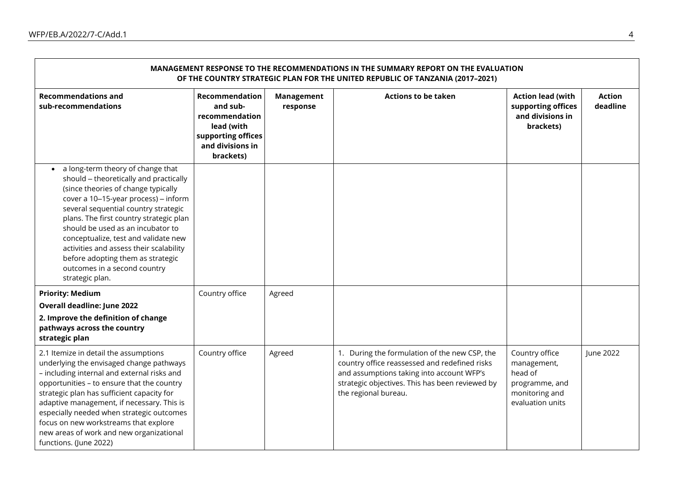$\blacksquare$ 

| MANAGEMENT RESPONSE TO THE RECOMMENDATIONS IN THE SUMMARY REPORT ON THE EVALUATION<br>OF THE COUNTRY STRATEGIC PLAN FOR THE UNITED REPUBLIC OF TANZANIA (2017-2021)                                                                                                                                                                                                                                                                                           |                                                                                                                          |                               |                                                                                                                                                                                                                        |                                                                                                  |                           |  |
|---------------------------------------------------------------------------------------------------------------------------------------------------------------------------------------------------------------------------------------------------------------------------------------------------------------------------------------------------------------------------------------------------------------------------------------------------------------|--------------------------------------------------------------------------------------------------------------------------|-------------------------------|------------------------------------------------------------------------------------------------------------------------------------------------------------------------------------------------------------------------|--------------------------------------------------------------------------------------------------|---------------------------|--|
| <b>Recommendations and</b><br>sub-recommendations                                                                                                                                                                                                                                                                                                                                                                                                             | <b>Recommendation</b><br>and sub-<br>recommendation<br>lead (with<br>supporting offices<br>and divisions in<br>brackets) | <b>Management</b><br>response | <b>Actions to be taken</b>                                                                                                                                                                                             | <b>Action lead (with</b><br>supporting offices<br>and divisions in<br>brackets)                  | <b>Action</b><br>deadline |  |
| a long-term theory of change that<br>should - theoretically and practically<br>(since theories of change typically<br>cover a 10-15-year process) - inform<br>several sequential country strategic<br>plans. The first country strategic plan<br>should be used as an incubator to<br>conceptualize, test and validate new<br>activities and assess their scalability<br>before adopting them as strategic<br>outcomes in a second country<br>strategic plan. |                                                                                                                          |                               |                                                                                                                                                                                                                        |                                                                                                  |                           |  |
| <b>Priority: Medium</b><br><b>Overall deadline: June 2022</b><br>2. Improve the definition of change<br>pathways across the country<br>strategic plan                                                                                                                                                                                                                                                                                                         | Country office                                                                                                           | Agreed                        |                                                                                                                                                                                                                        |                                                                                                  |                           |  |
| 2.1 Itemize in detail the assumptions<br>underlying the envisaged change pathways<br>- including internal and external risks and<br>opportunities - to ensure that the country<br>strategic plan has sufficient capacity for<br>adaptive management, if necessary. This is<br>especially needed when strategic outcomes<br>focus on new workstreams that explore<br>new areas of work and new organizational<br>functions. (June 2022)                        | Country office                                                                                                           | Agreed                        | 1. During the formulation of the new CSP, the<br>country office reassessed and redefined risks<br>and assumptions taking into account WFP's<br>strategic objectives. This has been reviewed by<br>the regional bureau. | Country office<br>management,<br>head of<br>programme, and<br>monitoring and<br>evaluation units | June 2022                 |  |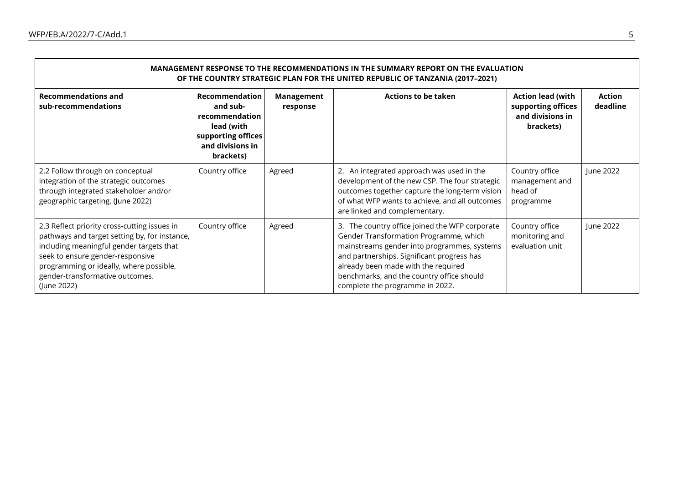| MANAGEMENT RESPONSE TO THE RECOMMENDATIONS IN THE SUMMARY REPORT ON THE EVALUATION<br>OF THE COUNTRY STRATEGIC PLAN FOR THE UNITED REPUBLIC OF TANZANIA (2017-2021)                                                                                                        |                                                                                                                   |                        |                                                                                                                                                                                                                                                                                                              |                                                                                 |                           |  |  |
|----------------------------------------------------------------------------------------------------------------------------------------------------------------------------------------------------------------------------------------------------------------------------|-------------------------------------------------------------------------------------------------------------------|------------------------|--------------------------------------------------------------------------------------------------------------------------------------------------------------------------------------------------------------------------------------------------------------------------------------------------------------|---------------------------------------------------------------------------------|---------------------------|--|--|
| <b>Recommendations and</b><br>sub-recommendations                                                                                                                                                                                                                          | Recommendation<br>and sub-<br>recommendation<br>lead (with<br>supporting offices<br>and divisions in<br>brackets) | Management<br>response | <b>Actions to be taken</b>                                                                                                                                                                                                                                                                                   | <b>Action lead (with</b><br>supporting offices<br>and divisions in<br>brackets) | <b>Action</b><br>deadline |  |  |
| 2.2 Follow through on conceptual<br>integration of the strategic outcomes<br>through integrated stakeholder and/or<br>geographic targeting. (June 2022)                                                                                                                    | Country office                                                                                                    | Agreed                 | 2. An integrated approach was used in the<br>development of the new CSP. The four strategic<br>outcomes together capture the long-term vision<br>of what WFP wants to achieve, and all outcomes<br>are linked and complementary.                                                                             | Country office<br>management and<br>head of<br>programme                        | June 2022                 |  |  |
| 2.3 Reflect priority cross-cutting issues in<br>pathways and target setting by, for instance,<br>including meaningful gender targets that<br>seek to ensure gender-responsive<br>programming or ideally, where possible,<br>gender-transformative outcomes.<br>(June 2022) | Country office                                                                                                    | Agreed                 | 3. The country office joined the WFP corporate<br>Gender Transformation Programme, which<br>mainstreams gender into programmes, systems<br>and partnerships. Significant progress has<br>already been made with the required<br>benchmarks, and the country office should<br>complete the programme in 2022. | Country office<br>monitoring and<br>evaluation unit                             | June 2022                 |  |  |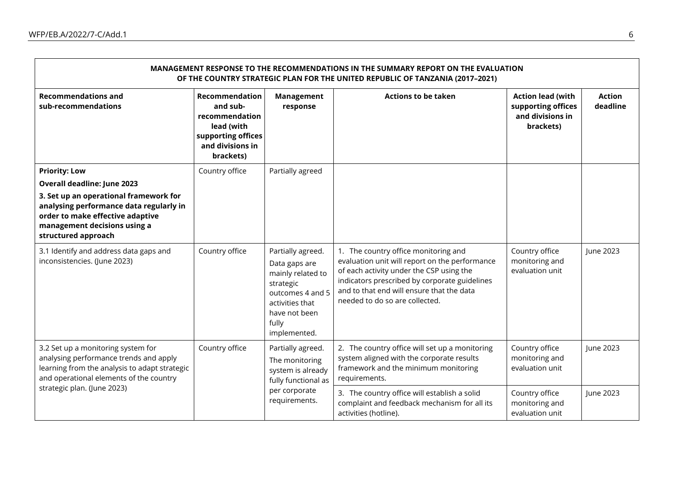| MANAGEMENT RESPONSE TO THE RECOMMENDATIONS IN THE SUMMARY REPORT ON THE EVALUATION<br>OF THE COUNTRY STRATEGIC PLAN FOR THE UNITED REPUBLIC OF TANZANIA (2017-2021)                                     |                                                                                                                   |                                                                                                                                                       |                                                                                                                                                                                                                                                                    |                                                                                 |                           |  |  |
|---------------------------------------------------------------------------------------------------------------------------------------------------------------------------------------------------------|-------------------------------------------------------------------------------------------------------------------|-------------------------------------------------------------------------------------------------------------------------------------------------------|--------------------------------------------------------------------------------------------------------------------------------------------------------------------------------------------------------------------------------------------------------------------|---------------------------------------------------------------------------------|---------------------------|--|--|
| <b>Recommendations and</b><br>sub-recommendations                                                                                                                                                       | Recommendation<br>and sub-<br>recommendation<br>lead (with<br>supporting offices<br>and divisions in<br>brackets) | <b>Management</b><br>response                                                                                                                         | <b>Actions to be taken</b>                                                                                                                                                                                                                                         | <b>Action lead (with</b><br>supporting offices<br>and divisions in<br>brackets) | <b>Action</b><br>deadline |  |  |
| <b>Priority: Low</b>                                                                                                                                                                                    | Country office                                                                                                    | Partially agreed                                                                                                                                      |                                                                                                                                                                                                                                                                    |                                                                                 |                           |  |  |
| <b>Overall deadline: June 2023</b><br>3. Set up an operational framework for                                                                                                                            |                                                                                                                   |                                                                                                                                                       |                                                                                                                                                                                                                                                                    |                                                                                 |                           |  |  |
| analysing performance data regularly in<br>order to make effective adaptive<br>management decisions using a<br>structured approach                                                                      |                                                                                                                   |                                                                                                                                                       |                                                                                                                                                                                                                                                                    |                                                                                 |                           |  |  |
| 3.1 Identify and address data gaps and<br>inconsistencies. (June 2023)                                                                                                                                  | Country office                                                                                                    | Partially agreed.<br>Data gaps are<br>mainly related to<br>strategic<br>outcomes 4 and 5<br>activities that<br>have not been<br>fully<br>implemented. | 1. The country office monitoring and<br>evaluation unit will report on the performance<br>of each activity under the CSP using the<br>indicators prescribed by corporate guidelines<br>and to that end will ensure that the data<br>needed to do so are collected. | Country office<br>monitoring and<br>evaluation unit                             | June 2023                 |  |  |
| 3.2 Set up a monitoring system for<br>analysing performance trends and apply<br>learning from the analysis to adapt strategic<br>and operational elements of the country<br>strategic plan. (June 2023) | Country office                                                                                                    | Partially agreed.<br>The monitoring<br>system is already<br>fully functional as<br>per corporate<br>requirements.                                     | 2. The country office will set up a monitoring<br>system aligned with the corporate results<br>framework and the minimum monitoring<br>requirements.                                                                                                               | Country office<br>monitoring and<br>evaluation unit                             | June 2023                 |  |  |
|                                                                                                                                                                                                         |                                                                                                                   |                                                                                                                                                       | 3. The country office will establish a solid<br>complaint and feedback mechanism for all its<br>activities (hotline).                                                                                                                                              | Country office<br>monitoring and<br>evaluation unit                             | June 2023                 |  |  |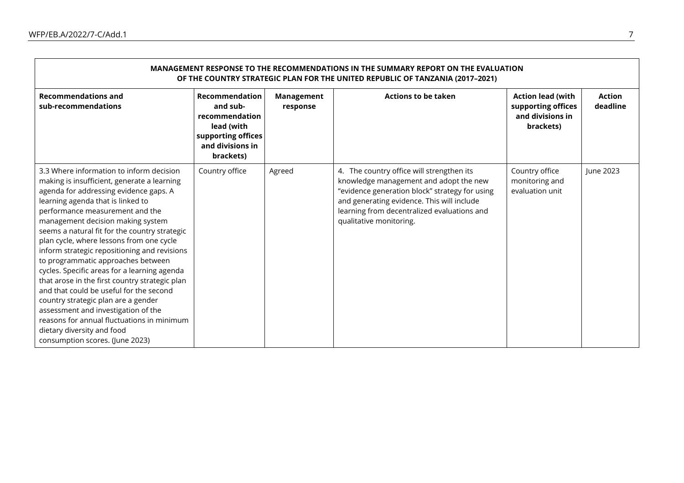| MANAGEMENT RESPONSE TO THE RECOMMENDATIONS IN THE SUMMARY REPORT ON THE EVALUATION<br>OF THE COUNTRY STRATEGIC PLAN FOR THE UNITED REPUBLIC OF TANZANIA (2017-2021)                                                                                                                                                                                                                                                                                                                                                                                                                                                                                                                                                                                                         |                                                                                                                   |                        |                                                                                                                                                                                                                                                               |                                                                                 |                           |  |  |
|-----------------------------------------------------------------------------------------------------------------------------------------------------------------------------------------------------------------------------------------------------------------------------------------------------------------------------------------------------------------------------------------------------------------------------------------------------------------------------------------------------------------------------------------------------------------------------------------------------------------------------------------------------------------------------------------------------------------------------------------------------------------------------|-------------------------------------------------------------------------------------------------------------------|------------------------|---------------------------------------------------------------------------------------------------------------------------------------------------------------------------------------------------------------------------------------------------------------|---------------------------------------------------------------------------------|---------------------------|--|--|
| <b>Recommendations and</b><br>sub-recommendations                                                                                                                                                                                                                                                                                                                                                                                                                                                                                                                                                                                                                                                                                                                           | Recommendation<br>and sub-<br>recommendation<br>lead (with<br>supporting offices<br>and divisions in<br>brackets) | Management<br>response | <b>Actions to be taken</b>                                                                                                                                                                                                                                    | <b>Action lead (with</b><br>supporting offices<br>and divisions in<br>brackets) | <b>Action</b><br>deadline |  |  |
| 3.3 Where information to inform decision<br>making is insufficient, generate a learning<br>agenda for addressing evidence gaps. A<br>learning agenda that is linked to<br>performance measurement and the<br>management decision making system<br>seems a natural fit for the country strategic<br>plan cycle, where lessons from one cycle<br>inform strategic repositioning and revisions<br>to programmatic approaches between<br>cycles. Specific areas for a learning agenda<br>that arose in the first country strategic plan<br>and that could be useful for the second<br>country strategic plan are a gender<br>assessment and investigation of the<br>reasons for annual fluctuations in minimum<br>dietary diversity and food<br>consumption scores. (June 2023) | Country office                                                                                                    | Agreed                 | 4. The country office will strengthen its<br>knowledge management and adopt the new<br>"evidence generation block" strategy for using<br>and generating evidence. This will include<br>learning from decentralized evaluations and<br>qualitative monitoring. | Country office<br>monitoring and<br>evaluation unit                             | June 2023                 |  |  |